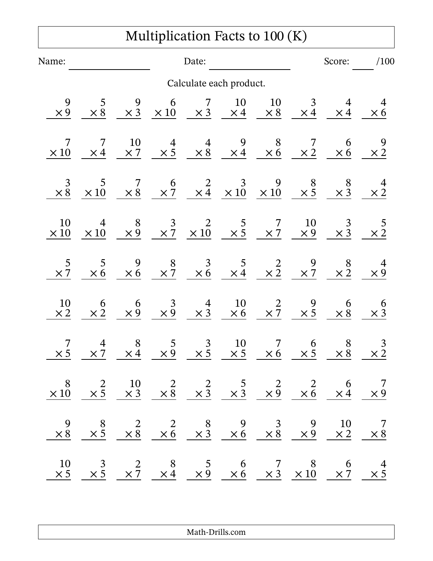## Multiplication Facts to 100 (K)

| Name:              |                                                                                                                                                                                                                                        |                                          | Date:                |                                                   |                                                                                             |                      | Score:                                                                                                                                                                                           |                                              | /100                         |  |
|--------------------|----------------------------------------------------------------------------------------------------------------------------------------------------------------------------------------------------------------------------------------|------------------------------------------|----------------------|---------------------------------------------------|---------------------------------------------------------------------------------------------|----------------------|--------------------------------------------------------------------------------------------------------------------------------------------------------------------------------------------------|----------------------------------------------|------------------------------|--|
|                    |                                                                                                                                                                                                                                        |                                          |                      |                                                   | Calculate each product.                                                                     |                      |                                                                                                                                                                                                  |                                              |                              |  |
| 9<br>$\times 9$    | 5<br>$\times 8$                                                                                                                                                                                                                        |                                          |                      |                                                   | 10<br>$\frac{9}{\times 3}$ $\frac{6}{\times 10}$ $\frac{7}{\times 3}$ $\frac{10}{\times 4}$ | 10                   | $\begin{array}{ccccc} 10 & 3 & 4 \\ \times 8 & \times 4 & \times 4 & \end{array}$                                                                                                                |                                              | 4<br>$\times 6$              |  |
| $\times\,10$       | 7                                                                                                                                                                                                                                      | 10<br>$\times$ 4 $\times$ 7              |                      |                                                   |                                                                                             |                      | $\begin{array}{ccccccccc}\n & 4 & & 9 & & 8 & & 7 \\ \times & 5 & & \times & 8 & & \times & 4 & & \times & 6 & & \times & 2\n\end{array}$                                                        | 6<br>$\times 6$                              | $\frac{9}{\times 2}$         |  |
| 3<br>$\times 8$    |                                                                                                                                                                                                                                        |                                          |                      |                                                   |                                                                                             |                      | $\begin{array}{ccccccccc} & & 5 & & 7 & & 6 & & 2 & & 3 & & 9 & & 8 \ \times 10 & & \times 8 & & \times 7 & & \times 4 & \times 10 & & \times 10 & & \times 5 & \ \end{array}$                   | $\begin{array}{c} 8 \\ \times 3 \end{array}$ | $\frac{4}{\times 2}$         |  |
| 10<br>$\times\,10$ |                                                                                                                                                                                                                                        |                                          |                      |                                                   |                                                                                             |                      | $\begin{array}{ccccccccc} & 4 & & 8 & & 3 & & 2 & & 5 & & 7 & & 10 & & 3 \\ \times 10 & & \times 9 & & \times 7 & \times 10 & & \times 5 & & \times 7 & & \times 9 & & \times 3 & \ \end{array}$ |                                              | $\frac{5}{\times 2}$         |  |
| 5<br>$\times 7$    | $\overline{5}$<br>$\times 6$                                                                                                                                                                                                           | 9<br>$\times 6$                          |                      |                                                   | $\begin{array}{c cc}\n8 & 3 & 5 \\ \times 7 & \times 6 & \times 4\n\end{array}$             | $\times \frac{2}{2}$ | $\begin{array}{c} 9 \\ \times 7 \end{array}$                                                                                                                                                     | 8<br>$\times \check{2}$                      | $\overline{4}$<br>$\times 9$ |  |
| 10<br>$\times 2$   | 6<br>$\times 2$                                                                                                                                                                                                                        | $\begin{matrix}6\\ \times 9\end{matrix}$ |                      |                                                   | $\begin{array}{ccc} 3 & 4 & 10 \\ \times 9 & \times 3 & \times 6 \end{array}$               |                      | $\begin{array}{ccc} & 2 & 9 \\ \times 7 & \times 5 & \end{array}$                                                                                                                                | 6<br>$\times$ 8                              | 6<br>$\times$ 3              |  |
| $\times$ 5         | 4<br>$\times 7$                                                                                                                                                                                                                        | 8<br>$\times 4$                          | $\frac{5}{\times 9}$ | $\begin{array}{c} 3 \\ \times 5 \\ - \end{array}$ | 10<br>$\times 5$                                                                            | 7<br>$\times 6$      | $6 \times 5$                                                                                                                                                                                     | $\begin{array}{c} 8 \\ \times 8 \end{array}$ | $\frac{3}{\times 2}$         |  |
|                    | $\begin{array}{c cccccc} 8 & 2 & 10 & 2 & 5 & 2 & 6 & 7 \\ \hline \times{10} & \times{5} & \times{5} & \times{3} & \times{8} & \times{3} & \times{3} & \times{3} & \times{9} & \times{6} & \times{4} & \times{9} \end{array}$          |                                          |                      |                                                   |                                                                                             |                      |                                                                                                                                                                                                  |                                              |                              |  |
|                    | $\begin{array}{ccccccccc}\n9 & & 8 & & 2 & & 2 & & 8 & & 9 & & 3 & & 9 & & 10 & & 7 \\ \times & 8 & & \times 5 & & \times 8 & & \times 6 & & \times 3 & & \times 6 & & \times 8 & & \times 9 & & \times 2 & & \times 8 \\ \end{array}$ |                                          |                      |                                                   |                                                                                             |                      |                                                                                                                                                                                                  |                                              |                              |  |
|                    | $\frac{10}{\times 5}$ $\frac{3}{\times 5}$ $\frac{2}{\times 7}$ $\frac{8}{\times 4}$ $\frac{5}{\times 9}$ $\frac{6}{\times 6}$ $\frac{7}{\times 3}$ $\frac{8}{\times 10}$ $\frac{6}{\times 7}$ $\frac{4}{\times 5}$                    |                                          |                      |                                                   |                                                                                             |                      |                                                                                                                                                                                                  |                                              |                              |  |

Math-Drills.com